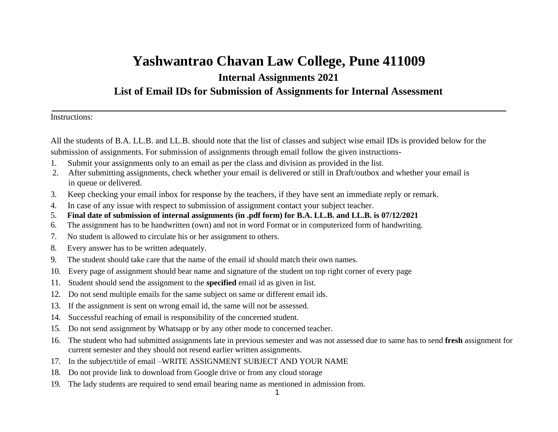# **Yashwantrao Chavan Law College, Pune 411009 Internal Assignments 2021 List of Email IDs for Submission of Assignments for Internal Assessment**

Instructions:

All the students of B.A. LL.B. and LL.B. should note that the list of classes and subject wise email IDs is provided below for the submission of assignments. For submission of assignments through email follow the given instructions-

- 1. Submit your assignments only to an email as per the class and division as provided in the list.
- 2. After submitting assignments, check whether your email is delivered or still in Draft/outbox and whether your email is in queue or delivered.
- 3. Keep checking your email inbox for response by the teachers, if they have sent an immediate reply or remark.
- 4. In case of any issue with respect to submission of assignment contact your subject teacher.
- 5. **Final date of submission of internal assignments (in .pdf form) for B.A. LL.B. and LL.B. is 07/12/2021**
- 6. The assignment has to be handwritten (own) and not in word Format or in computerized form of handwriting.
- 7. No student is allowed to circulate his or her assignment to others.
- 8. Every answer has to be written adequately.
- 9. The student should take care that the name of the email id should match their own names.
- 10. Every page of assignment should bear name and signature of the student on top right corner of every page
- 11. Student should send the assignment to the **specified** email id as given in list.
- 12. Do not send multiple emails for the same subject on same or different email ids.
- 13. If the assignment is sent on wrong email id, the same will not be assessed.
- 14. Successful reaching of email is responsibility of the concerned student.
- 15. Do not send assignment by Whatsapp or by any other mode to concerned teacher.
- 16. The student who had submitted assignments late in previous semester and was not assessed due to same has to send **fresh** assignment for current semester and they should not resend earlier written assignments.
- 17. In the subject/title of email –WRITE ASSIGNMENT SUBJECT AND YOUR NAME
- 18. Do not provide link to download from Google drive or from any cloud storage
- 19. The lady students are required to send email bearing name as mentioned in admission from.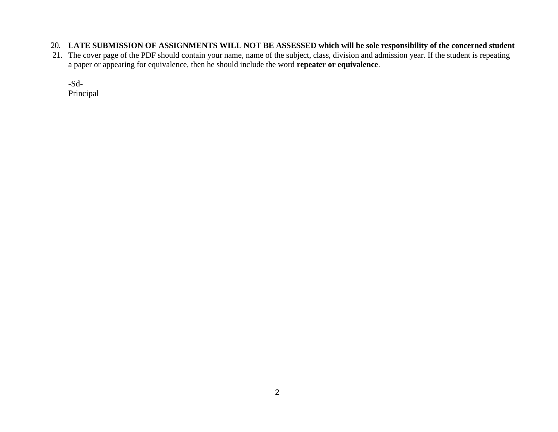- 20. **LATE SUBMISSION OF ASSIGNMENTS WILL NOT BE ASSESSED which will be sole responsibility of the concerned student**
- 21. The cover page of the PDF should contain your name, name of the subject, class, division and admission year. If the student is repeating a paper or appearing for equivalence, then he should include the word **repeater or equivalence**.

-Sd-

Principal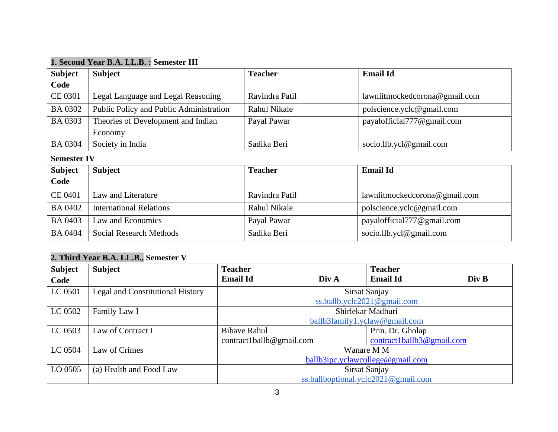## **1. Second Year B.A. LL.B. : Semester III**

| <b>Subject</b> | <b>Subject</b>                          | <b>Teacher</b> | <b>Email Id</b>               |
|----------------|-----------------------------------------|----------------|-------------------------------|
| Code           |                                         |                |                               |
| CE 0301        | Legal Language and Legal Reasoning      | Ravindra Patil | lawnlitmockedcorona@gmail.com |
| <b>BA 0302</b> | Public Policy and Public Administration | Rahul Nikale   | polscience.yclc@gmail.com     |
| <b>BA 0303</b> | Theories of Development and Indian      | Payal Pawar    | payalofficial777@gmail.com    |
|                | Economy                                 |                |                               |
| <b>BA 0304</b> | Society in India                        | Sadika Beri    | socio.llb.ycl@gmail.com       |

#### **Semester IV**

| <b>Subject</b><br>Code | <b>Subject</b>                 | <b>Teacher</b> | <b>Email Id</b>               |
|------------------------|--------------------------------|----------------|-------------------------------|
| CE 0401                | Law and Literature             | Ravindra Patil | lawnlitmockedcorona@gmail.com |
| <b>BA 0402</b>         | <b>International Relations</b> | Rahul Nikale   | polscience.yclc@gmail.com     |
| <b>BA 0403</b>         | Law and Economics              | Payal Pawar    | payalofficial777@gmail.com    |
| <b>BA 0404</b>         | Social Research Methods        | Sadika Beri    | socio.llb.ycl@gmail.com       |

## **2. Third Year B.A. LL.B., Semester V**

| <b>Subject</b> | <b>Subject</b>                   | <b>Teacher</b>                      |       | <b>Teacher</b>                      |       |
|----------------|----------------------------------|-------------------------------------|-------|-------------------------------------|-------|
| Code           |                                  | <b>Email Id</b>                     | Div A | <b>Email Id</b>                     | Div B |
| LC 0501        | Legal and Constitutional History |                                     |       | Sirsat Sanjay                       |       |
|                |                                  |                                     |       | ss.ballb.yclc2021@gmail.com         |       |
| LC 0502        | Family Law I                     | Shirlekar Madhuri                   |       |                                     |       |
|                |                                  | $ballb3 family 1. yellow@gmail.com$ |       |                                     |       |
| LC 0503        | Law of Contract I                | <b>Bibave Rahul</b>                 |       | Prin. Dr. Gholap                    |       |
|                |                                  | $control$ ball $\&$ gmail.com       |       | contract1ballb3@gmail.com           |       |
| LC 0504        | Law of Crimes                    | Wanare M M                          |       |                                     |       |
|                |                                  | ballb3ipc.yclawcollege@gmail.com    |       |                                     |       |
| LO 0505        | (a) Health and Food Law          | Sirsat Sanjay                       |       |                                     |       |
|                |                                  |                                     |       | ss.ballboptional.yclc2021@gmail.com |       |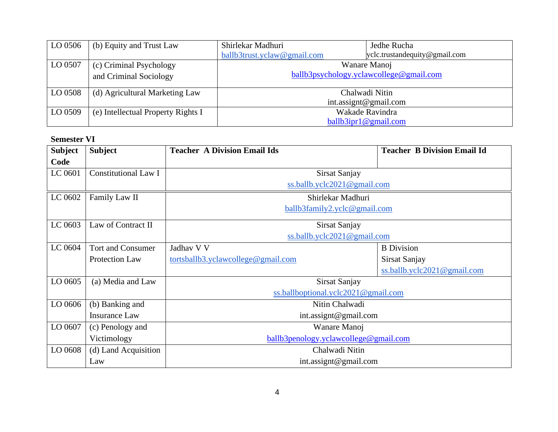| LO 0506 | (b) Equity and Trust Law           | Shirlekar Madhuri              | Jedhe Rucha                             |
|---------|------------------------------------|--------------------------------|-----------------------------------------|
|         |                                    | $ballb3$ trust.yclaw@gmail.com | yclc.trustandequity@gmail.com           |
| LO 0507 | (c) Criminal Psychology            | Wanare Manoj                   |                                         |
|         | and Criminal Sociology             |                                | ballb3psychology.yclawcollege@gmail.com |
| LO 0508 | (d) Agricultural Marketing Law     | Chalwadi Nitin                 |                                         |
|         |                                    |                                | int.assignt@gmail.com                   |
| LO 0509 | (e) Intellectual Property Rights I |                                | Wakade Ravindra                         |
|         |                                    |                                | ballb3ipr1@gmail.com                    |

#### **Semester VI**

| <b>Subject</b> | <b>Subject</b>              | <b>Teacher A Division Email Ids</b>   | <b>Teacher B Division Email Id</b> |  |  |
|----------------|-----------------------------|---------------------------------------|------------------------------------|--|--|
| Code           |                             |                                       |                                    |  |  |
| LC 0601        | <b>Constitutional Law I</b> | Sirsat Sanjay                         |                                    |  |  |
|                |                             | ss.ballb.yclc2021@gmail.com           |                                    |  |  |
| LC 0602        | Family Law II               | Shirlekar Madhuri                     |                                    |  |  |
|                |                             | ballb3family2.yclc@gmail.com          |                                    |  |  |
| LC 0603        | Law of Contract II          | Sirsat Sanjay                         |                                    |  |  |
|                |                             | ss.ballb.yclc2021@gmail.com           |                                    |  |  |
| LC 0604        | <b>Tort and Consumer</b>    | Jadhav V V                            | <b>B</b> Division                  |  |  |
|                | <b>Protection Law</b>       | tortsballb3.yclawcollege@gmail.com    | Sirsat Sanjay                      |  |  |
|                |                             |                                       | ss.ballb.yclc2021@gmail.com        |  |  |
| LO 0605        | (a) Media and Law           | Sirsat Sanjay                         |                                    |  |  |
|                |                             | ss.ballboptional.yclc2021@gmail.com   |                                    |  |  |
| LO 0606        | (b) Banking and             | Nitin Chalwadi                        |                                    |  |  |
|                | <b>Insurance Law</b>        | int.assignt@gmail.com                 |                                    |  |  |
| LO 0607        | (c) Penology and            | Wanare Manoj                          |                                    |  |  |
|                | Victimology                 | ballb3penology.yclawcollege@gmail.com |                                    |  |  |
| LO 0608        | (d) Land Acquisition        | Chalwadi Nitin                        |                                    |  |  |
|                | Law                         | int.assignt@gmail.com                 |                                    |  |  |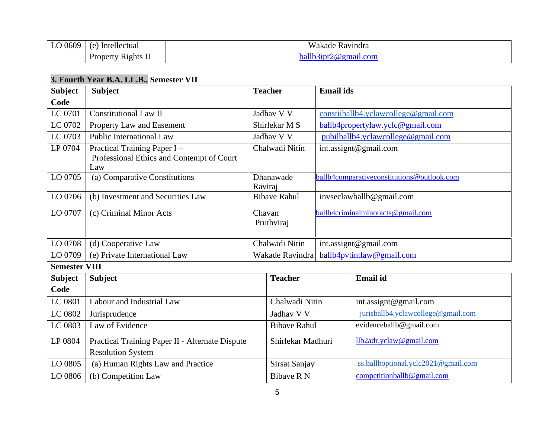| $\vert$ LO 0609 $\vert$ | $(e)$ Intellectual | Wakade Ravindra      |  |
|-------------------------|--------------------|----------------------|--|
|                         | Property Rights II | ballb3ipr2@gmail.com |  |

## **3. Fourth Year B.A. LL.B., Semester VII**

| <b>Subject</b>       | <b>Subject</b>                                                                  |                 | <b>Teacher</b>       | <b>Email ids</b> |                                            |
|----------------------|---------------------------------------------------------------------------------|-----------------|----------------------|------------------|--------------------------------------------|
| Code                 |                                                                                 |                 |                      |                  |                                            |
| LC 0701              | <b>Constitutional Law II</b>                                                    |                 | Jadhav V V           |                  | constitutedlb4.yclawcollege@gmail.com      |
| LC 0702              | Property Law and Easement                                                       |                 | Shirlekar M S        |                  | ballb4propertylaw.yclc@gmail.com           |
| LC 0703              | <b>Public International Law</b>                                                 |                 | Jadhav V V           |                  | pubilballb4.yclawcollege@gmail.com         |
| LP 0704              | Practical Training Paper I-<br>Professional Ethics and Contempt of Court<br>Law | Chalwadi Nitin  |                      |                  | int.assignt@gmail.com                      |
| LO 0705              | (a) Comparative Constitutions                                                   | Raviraj         | Dhanawade            |                  | ballb4comparativeconstitutions@outlook.com |
| LO 0706              | (b) Investment and Securities Law                                               |                 | <b>Bibave Rahul</b>  |                  | invseclawballb@gmail.com                   |
| LO 0707              | (c) Criminal Minor Acts                                                         |                 | Chavan<br>Pruthviraj |                  | ballb4criminalminoracts@gmail.com          |
| LO 0708              | (d) Cooperative Law                                                             |                 | Chalwadi Nitin       |                  | int.assignt@gmail.com                      |
| LO 0709              | (e) Private International Law                                                   | Wakade Ravindra |                      |                  | ballb4pvtintlaw@gmail.com                  |
| <b>Semester VIII</b> |                                                                                 |                 |                      |                  |                                            |
| <b>Subject</b>       | <b>Subject</b>                                                                  |                 | <b>Teacher</b>       |                  | <b>Email</b> id                            |
| Code                 |                                                                                 |                 |                      |                  |                                            |
| LC 0801              | Labour and Industrial Law                                                       |                 | Chalwadi Nitin       |                  | int.assignt@gmail.com                      |
| LC 0802              | Jurisprudence                                                                   |                 | Jadhav V V           |                  | jurisballb4.yclawcollege@gmail.com         |
| LC 0803              | Law of Evidence                                                                 |                 | <b>Bibave Rahul</b>  |                  | evidenceballb@gmail.com                    |
| LP 0804              | Practical Training Paper II - Alternate Dispute                                 |                 | Shirlekar Madhuri    |                  | llb2adr.yclaw@gmail.com                    |
|                      | <b>Resolution System</b>                                                        |                 |                      |                  |                                            |
| LO 0805              | (a) Human Rights Law and Practice                                               |                 | Sirsat Sanjay        |                  | ss.ballboptional.yclc2021@gmail.com        |
| LO 0806              | (b) Competition Law                                                             |                 | <b>Bibave R N</b>    |                  | competitionballb@gmail.com                 |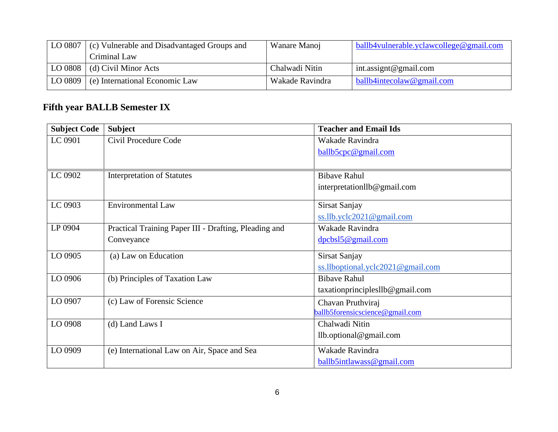| LO 0807 | (c) Vulnerable and Disadvantaged Groups and | Wanare Manoj    | ballb4vulnerable.yclawcollege@gmail.com  |
|---------|---------------------------------------------|-----------------|------------------------------------------|
|         | Criminal Law                                |                 |                                          |
|         | LO 0808 $\mid$ (d) Civil Minor Acts         | Chalwadi Nitin  | int.assignt@gmail.com                    |
| LO 0809 | (e) International Economic Law              | Wakade Ravindra | $\blacksquare$ ballb4intecolaw@gmail.com |

# **Fifth year BALLB Semester IX**

| <b>Subject Code</b> | <b>Subject</b>                                        | <b>Teacher and Email Ids</b>            |
|---------------------|-------------------------------------------------------|-----------------------------------------|
| LC 0901             | Civil Procedure Code                                  | Wakade Ravindra                         |
|                     |                                                       | ballb5cpc@gmail.com                     |
|                     |                                                       |                                         |
| LC 0902             | <b>Interpretation of Statutes</b>                     | <b>Bibave Rahul</b>                     |
|                     |                                                       | interpretationllb@gmail.com             |
| LC 0903             | <b>Environmental Law</b>                              | Sirsat Sanjay                           |
|                     |                                                       | $ss.$ Ilb.yclc2021@gmail.com            |
| LP 0904             | Practical Training Paper III - Drafting, Pleading and | Wakade Ravindra                         |
|                     | Conveyance                                            | dpcbsl5@gmail.com                       |
| LO 0905             | (a) Law on Education                                  | Sirsat Sanjay                           |
|                     |                                                       | $ss.$ Ilboptional.yclc2021@gmail.com    |
| LO 0906             | (b) Principles of Taxation Law                        | <b>Bibave Rahul</b>                     |
|                     |                                                       | $taxation principle$ sllb $@$ gmail.com |
| LO 0907             | (c) Law of Forensic Science                           | Chavan Pruthviraj                       |
|                     |                                                       | ballb5forensicscience@gmail.com         |
| LO 0908             | (d) Land Laws I                                       | Chalwadi Nitin                          |
|                     |                                                       | $llb.$ optional@gmail.com               |
| LO 0909             | (e) International Law on Air, Space and Sea           | Wakade Ravindra                         |
|                     |                                                       | ballb5intlawass@gmail.com               |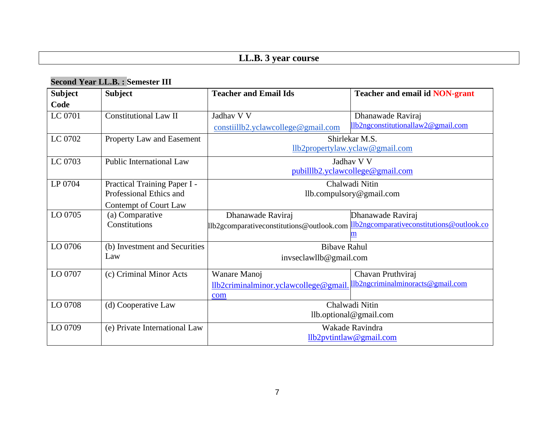# **LL.B. 3 year course**

## **Second Year LL.B. : Semester III**

| <b>Subject</b> | <b>Subject</b>                  | <b>Teacher and Email Ids</b>                                                        | <b>Teacher and email id NON-grant</b> |  |
|----------------|---------------------------------|-------------------------------------------------------------------------------------|---------------------------------------|--|
| Code           |                                 |                                                                                     |                                       |  |
| LC 0701        | <b>Constitutional Law II</b>    | Jadhav V V                                                                          | Dhanawade Raviraj                     |  |
|                |                                 | $constiillb2$ .yclawcollege@gmail.com                                               | 11b2ngconstitutionallaw2@gmail.com    |  |
| LC 0702        | Property Law and Easement       |                                                                                     | Shirlekar M.S.                        |  |
|                |                                 |                                                                                     | llb2propertylaw.yclaw@gmail.com       |  |
| LC 0703        | <b>Public International Law</b> |                                                                                     | Jadhav V V                            |  |
|                |                                 |                                                                                     | pubillib2.yclawcollege@gmail.com      |  |
| LP 0704        | Practical Training Paper I -    |                                                                                     | Chalwadi Nitin                        |  |
|                | Professional Ethics and         | llb.compulsory@gmail.com                                                            |                                       |  |
|                | Contempt of Court Law           |                                                                                     |                                       |  |
| LO 0705        | (a) Comparative                 | Dhanawade Raviraj                                                                   | Dhanawade Raviraj                     |  |
|                | Constitutions                   | Ilb2gcomparativeconstitutions@outlook.com Ilb2ngcomparativeconstitutions@outlook.co |                                       |  |
|                |                                 |                                                                                     |                                       |  |
| LO 0706        | (b) Investment and Securities   | <b>Bibave Rahul</b>                                                                 |                                       |  |
|                | Law                             | invseclawllb@gmail.com                                                              |                                       |  |
| LO 0707        | (c) Criminal Minor Acts         | Wanare Manoj                                                                        | Chavan Pruthviraj                     |  |
|                |                                 | llb2criminalminor.yclawcollege@gmail                                                | Ilb2ngcriminalminoracts@gmail.com     |  |
|                |                                 | com                                                                                 |                                       |  |
| LO 0708        | (d) Cooperative Law             | Chalwadi Nitin                                                                      |                                       |  |
|                |                                 | llb.optional@gmail.com                                                              |                                       |  |
| LO 0709        | (e) Private International Law   | Wakade Ravindra                                                                     |                                       |  |
|                |                                 | llb2pvtintlaw@gmail.com                                                             |                                       |  |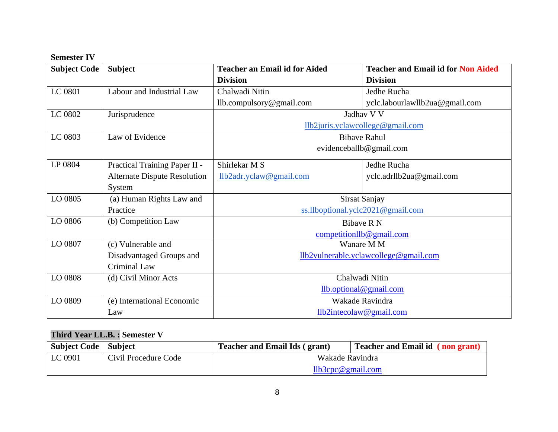#### **Semester IV**

| <b>Subject Code</b> | <b>Subject</b>                      | <b>Teacher an Email id for Aided</b>  | <b>Teacher and Email id for Non Aided</b> |  |
|---------------------|-------------------------------------|---------------------------------------|-------------------------------------------|--|
|                     |                                     | <b>Division</b>                       | <b>Division</b>                           |  |
| LC 0801             | Labour and Industrial Law           | Chalwadi Nitin                        | Jedhe Rucha                               |  |
|                     |                                     | llb.compulsory@gmail.com              | yclc.labourlawllb2ua@gmail.com            |  |
| LC 0802             | Jurisprudence                       |                                       | Jadhav V V                                |  |
|                     |                                     |                                       | llb2juris.yclawcollege@gmail.com          |  |
| LC 0803             | Law of Evidence                     |                                       | <b>Bibave Rahul</b>                       |  |
|                     |                                     |                                       | evidenceballb@gmail.com                   |  |
| LP 0804             | Practical Training Paper II -       | Shirlekar M S                         | Jedhe Rucha                               |  |
|                     | <b>Alternate Dispute Resolution</b> | llb2adr.yclaw@gmail.com               | yclc.adrllb2ua@gmail.com                  |  |
|                     | System                              |                                       |                                           |  |
| LO 0805             | (a) Human Rights Law and            | <b>Sirsat Sanjay</b>                  |                                           |  |
|                     | Practice                            | ss.llboptional.yclc2021@gmail.com     |                                           |  |
| LO 0806             | (b) Competition Law                 |                                       | Bibaye R N                                |  |
|                     |                                     | competitionllb@gmail.com              |                                           |  |
| LO 0807             | (c) Vulnerable and                  |                                       | Wanare M M                                |  |
|                     | Disadvantaged Groups and            | llb2vulnerable.yclawcollege@gmail.com |                                           |  |
|                     | Criminal Law                        |                                       |                                           |  |
| LO 0808             | (d) Civil Minor Acts                | Chalwadi Nitin                        |                                           |  |
|                     |                                     | llb.optional@gmail.com                |                                           |  |
| LO 0809             | (e) International Economic          | Wakade Ravindra                       |                                           |  |
|                     | Law                                 |                                       | llb2intecolaw@gmail.com                   |  |

## **Third Year LL.B. : Semester V**

| <b>Subject Code</b>   Subject |                      | <b>Teacher and Email Ids (grant)</b> | Teacher and Email id (non grant) |
|-------------------------------|----------------------|--------------------------------------|----------------------------------|
| LC 0901                       | Civil Procedure Code | Wakade Ravindra                      |                                  |
|                               |                      | llb3cpc@gmail.com                    |                                  |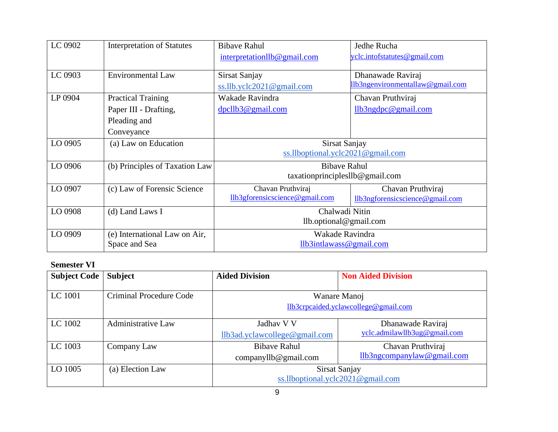| LC 0902                                     | <b>Interpretation of Statutes</b> | <b>Bibave Rahul</b>                                            | Jedhe Rucha                      |
|---------------------------------------------|-----------------------------------|----------------------------------------------------------------|----------------------------------|
|                                             |                                   | interpretationllb@gmail.com                                    | yclc.intofstatutes@gmail.com     |
|                                             |                                   |                                                                |                                  |
| LC 0903                                     | <b>Environmental Law</b>          | Sirsat Sanjay                                                  | Dhanawade Raviraj                |
|                                             |                                   | ss.llb.yclc2021@gmail.com                                      | Ilb3ngenvironmentallaw@gmail.com |
| LP 0904                                     | <b>Practical Training</b>         | Wakade Ravindra                                                | Chavan Pruthviraj                |
|                                             | Paper III - Drafting,             | $dpc$ llb3@gmail.com                                           | llb3ngdpc@gmail.com              |
|                                             | Pleading and                      |                                                                |                                  |
|                                             | Conveyance                        |                                                                |                                  |
| LO 0905                                     | (a) Law on Education              | Sirsat Sanjay                                                  |                                  |
|                                             |                                   | ss.llboptional.yclc2021@gmail.com                              |                                  |
| LO 0906                                     | (b) Principles of Taxation Law    | <b>Bibave Rahul</b><br>$taxation principle$ sllb $@$ gmail.com |                                  |
|                                             |                                   |                                                                |                                  |
| LO 0907                                     | (c) Law of Forensic Science       | Chavan Pruthviraj                                              | Chavan Pruthviraj                |
|                                             |                                   | llb3gforensicscience@gmail.com                                 | llb3ngforensicscience@gmail.com  |
| LO 0908                                     | (d) Land Laws I                   | Chalwadi Nitin                                                 |                                  |
|                                             |                                   | llb.optional@gmail.com                                         |                                  |
| LO 0909                                     | (e) International Law on Air,     | Wakade Ravindra                                                |                                  |
| Space and Sea<br>$llb3$ intlawass@gmail.com |                                   |                                                                |                                  |

#### **Semester VI**

| <b>Subject Code</b> | <b>Subject</b>                 | <b>Aided Division</b>                                | <b>Non Aided Division</b>                         |
|---------------------|--------------------------------|------------------------------------------------------|---------------------------------------------------|
| LC 1001             | <b>Criminal Procedure Code</b> | Wanare Manoj<br>llb3crpcaided.yclawcollege@gmail.com |                                                   |
| LC 1002             | <b>Administrative Law</b>      | Jadhav V V<br>llb3ad.yclawcollege@gmail.com          | Dhanawade Raviraj<br>yclc.admilawllb3ug@gmail.com |
| LC 1003             | Company Law                    | <b>Bibave Rahul</b><br>companyllb@gmail.com          | Chavan Pruthviraj<br>llb3ngcompanylaw@gmail.com   |
| LO 1005             | (a) Election Law               | Sirsat Sanjay<br>ss.llboptional.yclc2021@gmail.com   |                                                   |